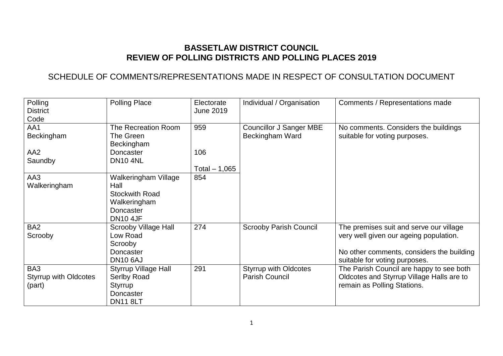# **BASSETLAW DISTRICT COUNCIL REVIEW OF POLLING DISTRICTS AND POLLING PLACES 2019**

# SCHEDULE OF COMMENTS/REPRESENTATIONS MADE IN RESPECT OF CONSULTATION DOCUMENT

| Polling<br><b>District</b><br>Code            | <b>Polling Place</b>                                                                                  | Electorate<br><b>June 2019</b> | Individual / Organisation                             | Comments / Representations made                                                                                                                                 |
|-----------------------------------------------|-------------------------------------------------------------------------------------------------------|--------------------------------|-------------------------------------------------------|-----------------------------------------------------------------------------------------------------------------------------------------------------------------|
| AA1<br>Beckingham<br>AA <sub>2</sub>          | The Recreation Room<br>The Green<br>Beckingham<br>Doncaster                                           | 959<br>106                     | <b>Councillor J Sanger MBE</b><br>Beckingham Ward     | No comments. Considers the buildings<br>suitable for voting purposes.                                                                                           |
| Saundby                                       | <b>DN10 4NL</b>                                                                                       | Total $-1,065$                 |                                                       |                                                                                                                                                                 |
| AA3<br>Walkeringham                           | Walkeringham Village<br>Hall<br><b>Stockwith Road</b><br>Walkeringham<br>Doncaster<br><b>DN10 4JF</b> | 854                            |                                                       |                                                                                                                                                                 |
| BA <sub>2</sub><br>Scrooby                    | <b>Scrooby Village Hall</b><br>Low Road<br>Scrooby<br>Doncaster<br><b>DN10 6AJ</b>                    | 274                            | <b>Scrooby Parish Council</b>                         | The premises suit and serve our village<br>very well given our ageing population.<br>No other comments, considers the building<br>suitable for voting purposes. |
| BA3<br><b>Styrrup with Oldcotes</b><br>(part) | <b>Styrrup Village Hall</b><br>Serlby Road<br>Styrrup<br>Doncaster<br><b>DN11 8LT</b>                 | 291                            | <b>Styrrup with Oldcotes</b><br><b>Parish Council</b> | The Parish Council are happy to see both<br>Oldcotes and Styrrup Village Halls are to<br>remain as Polling Stations.                                            |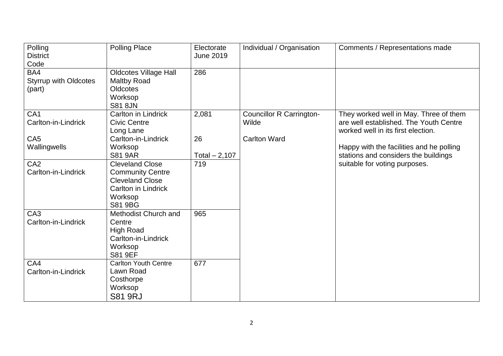| Polling<br><b>District</b>                            | <b>Polling Place</b>                                                                                                                   | Electorate<br><b>June 2019</b> | Individual / Organisation                | Comments / Representations made                                                                                        |
|-------------------------------------------------------|----------------------------------------------------------------------------------------------------------------------------------------|--------------------------------|------------------------------------------|------------------------------------------------------------------------------------------------------------------------|
| Code<br>BA4<br><b>Styrrup with Oldcotes</b><br>(part) | <b>Oldcotes Village Hall</b><br><b>Maltby Road</b><br>Oldcotes<br>Worksop<br><b>S81 8JN</b>                                            | 286                            |                                          |                                                                                                                        |
| CA <sub>1</sub><br>Carlton-in-Lindrick                | <b>Carlton in Lindrick</b><br><b>Civic Centre</b><br>Long Lane                                                                         | 2,081                          | <b>Councillor R Carrington-</b><br>Wilde | They worked well in May. Three of them<br>are well established. The Youth Centre<br>worked well in its first election. |
| CA <sub>5</sub><br>Wallingwells                       | Carlton-in-Lindrick<br>Worksop<br><b>S81 9AR</b>                                                                                       | 26<br>Total $-2,107$           | <b>Carlton Ward</b>                      | Happy with the facilities and he polling<br>stations and considers the buildings                                       |
| CA <sub>2</sub><br>Carlton-in-Lindrick                | <b>Cleveland Close</b><br><b>Community Centre</b><br><b>Cleveland Close</b><br><b>Carlton in Lindrick</b><br>Worksop<br><b>S81 9BG</b> | 719                            |                                          | suitable for voting purposes.                                                                                          |
| CA <sub>3</sub><br>Carlton-in-Lindrick                | Methodist Church and<br>Centre<br><b>High Road</b><br>Carlton-in-Lindrick<br>Worksop<br>S81 9EF                                        | 965                            |                                          |                                                                                                                        |
| CA4<br>Carlton-in-Lindrick                            | <b>Carlton Youth Centre</b><br>Lawn Road<br>Costhorpe<br>Worksop<br><b>S81 9RJ</b>                                                     | 677                            |                                          |                                                                                                                        |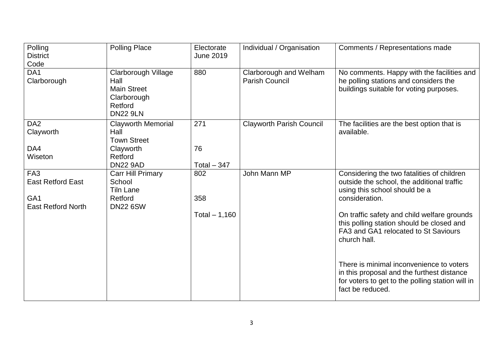| Polling<br><b>District</b>                   | <b>Polling Place</b>                                                                           | Electorate<br><b>June 2019</b> | Individual / Organisation                       | Comments / Representations made                                                                                                                                |
|----------------------------------------------|------------------------------------------------------------------------------------------------|--------------------------------|-------------------------------------------------|----------------------------------------------------------------------------------------------------------------------------------------------------------------|
| Code                                         |                                                                                                |                                |                                                 |                                                                                                                                                                |
| DA <sub>1</sub><br>Clarborough               | Clarborough Village<br>Hall<br><b>Main Street</b><br>Clarborough<br>Retford<br><b>DN22 9LN</b> | 880                            | Clarborough and Welham<br><b>Parish Council</b> | No comments. Happy with the facilities and<br>he polling stations and considers the<br>buildings suitable for voting purposes.                                 |
| DA <sub>2</sub><br>Clayworth                 | <b>Clayworth Memorial</b><br>Hall<br><b>Town Street</b>                                        | 271                            | <b>Clayworth Parish Council</b>                 | The facilities are the best option that is<br>available.                                                                                                       |
| DA4                                          | Clayworth                                                                                      | 76                             |                                                 |                                                                                                                                                                |
| Wiseton                                      | Retford                                                                                        |                                |                                                 |                                                                                                                                                                |
|                                              | <b>DN22 9AD</b>                                                                                | Total $-347$                   |                                                 |                                                                                                                                                                |
| FA <sub>3</sub><br><b>East Retford East</b>  | Carr Hill Primary<br>School<br><b>Tiln Lane</b>                                                | 802                            | John Mann MP                                    | Considering the two fatalities of children<br>outside the school, the additional traffic<br>using this school should be a                                      |
| GA <sub>1</sub><br><b>East Retford North</b> | Retford<br><b>DN22 6SW</b>                                                                     | 358                            |                                                 | consideration.                                                                                                                                                 |
|                                              |                                                                                                | Total $-1,160$                 |                                                 | On traffic safety and child welfare grounds<br>this polling station should be closed and<br>FA3 and GA1 relocated to St Saviours<br>church hall.               |
|                                              |                                                                                                |                                |                                                 | There is minimal inconvenience to voters<br>in this proposal and the furthest distance<br>for voters to get to the polling station will in<br>fact be reduced. |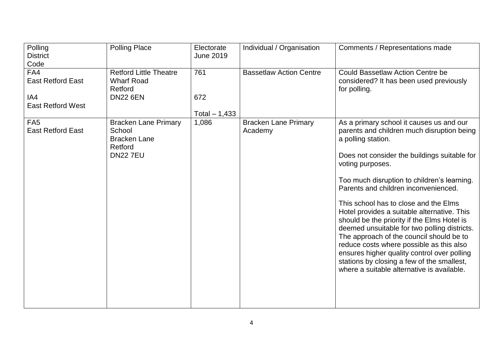| Polling                  | <b>Polling Place</b>          | Electorate       | Individual / Organisation      | Comments / Representations made              |
|--------------------------|-------------------------------|------------------|--------------------------------|----------------------------------------------|
| <b>District</b>          |                               | <b>June 2019</b> |                                |                                              |
| Code                     |                               |                  |                                |                                              |
| FA4                      | <b>Retford Little Theatre</b> | 761              | <b>Bassetlaw Action Centre</b> | <b>Could Bassetlaw Action Centre be</b>      |
| <b>East Retford East</b> | <b>Wharf Road</b>             |                  |                                | considered? It has been used previously      |
|                          | Retford                       |                  |                                | for polling.                                 |
| IA4                      | <b>DN22 6EN</b>               | 672              |                                |                                              |
| <b>East Retford West</b> |                               |                  |                                |                                              |
|                          |                               | Total $- 1,433$  |                                |                                              |
| FA <sub>5</sub>          | <b>Bracken Lane Primary</b>   | 1,086            | <b>Bracken Lane Primary</b>    | As a primary school it causes us and our     |
| <b>East Retford East</b> | School                        |                  | Academy                        | parents and children much disruption being   |
|                          | <b>Bracken Lane</b>           |                  |                                | a polling station.                           |
|                          | Retford                       |                  |                                |                                              |
|                          | <b>DN227EU</b>                |                  |                                | Does not consider the buildings suitable for |
|                          |                               |                  |                                | voting purposes.                             |
|                          |                               |                  |                                |                                              |
|                          |                               |                  |                                | Too much disruption to children's learning.  |
|                          |                               |                  |                                | Parents and children inconvenienced.         |
|                          |                               |                  |                                | This school has to close and the Elms        |
|                          |                               |                  |                                | Hotel provides a suitable alternative. This  |
|                          |                               |                  |                                | should be the priority if the Elms Hotel is  |
|                          |                               |                  |                                | deemed unsuitable for two polling districts. |
|                          |                               |                  |                                | The approach of the council should be to     |
|                          |                               |                  |                                | reduce costs where possible as this also     |
|                          |                               |                  |                                | ensures higher quality control over polling  |
|                          |                               |                  |                                | stations by closing a few of the smallest,   |
|                          |                               |                  |                                | where a suitable alternative is available.   |
|                          |                               |                  |                                |                                              |
|                          |                               |                  |                                |                                              |
|                          |                               |                  |                                |                                              |
|                          |                               |                  |                                |                                              |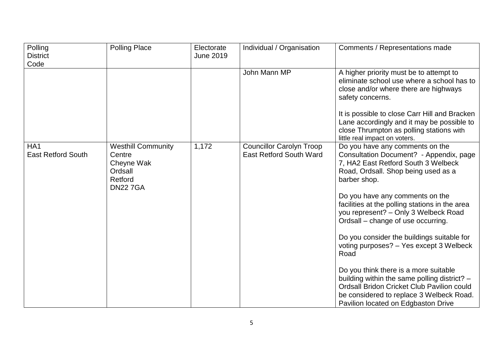| Polling<br><b>District</b><br>Code           | <b>Polling Place</b>                                                                      | Electorate<br>June 2019 | Individual / Organisation                                         | Comments / Representations made                                                                                                                                                                                                                                                                                                                                                                                                                                                                                                                                                                                                                                               |
|----------------------------------------------|-------------------------------------------------------------------------------------------|-------------------------|-------------------------------------------------------------------|-------------------------------------------------------------------------------------------------------------------------------------------------------------------------------------------------------------------------------------------------------------------------------------------------------------------------------------------------------------------------------------------------------------------------------------------------------------------------------------------------------------------------------------------------------------------------------------------------------------------------------------------------------------------------------|
|                                              |                                                                                           |                         | John Mann MP                                                      | A higher priority must be to attempt to<br>eliminate school use where a school has to<br>close and/or where there are highways<br>safety concerns.<br>It is possible to close Carr Hill and Bracken<br>Lane accordingly and it may be possible to<br>close Thrumpton as polling stations with<br>little real impact on voters.                                                                                                                                                                                                                                                                                                                                                |
| HA <sub>1</sub><br><b>East Retford South</b> | <b>Westhill Community</b><br>Centre<br>Cheyne Wak<br>Ordsall<br>Retford<br><b>DN227GA</b> | 1,172                   | <b>Councillor Carolyn Troop</b><br><b>East Retford South Ward</b> | Do you have any comments on the<br>Consultation Document? - Appendix, page<br>7, HA2 East Retford South 3 Welbeck<br>Road, Ordsall. Shop being used as a<br>barber shop.<br>Do you have any comments on the<br>facilities at the polling stations in the area<br>you represent? - Only 3 Welbeck Road<br>Ordsall - change of use occurring.<br>Do you consider the buildings suitable for<br>voting purposes? - Yes except 3 Welbeck<br>Road<br>Do you think there is a more suitable<br>building within the same polling district? -<br><b>Ordsall Bridon Cricket Club Pavilion could</b><br>be considered to replace 3 Welbeck Road.<br>Pavilion located on Edgbaston Drive |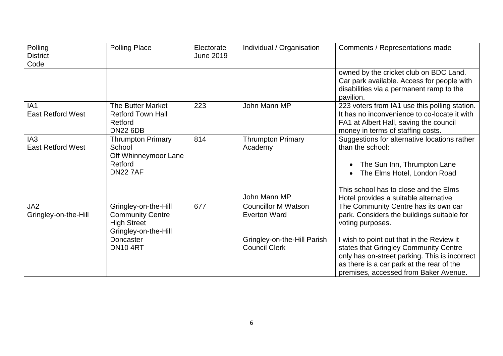| Polling                  | <b>Polling Place</b>     | Electorate       | Individual / Organisation   | Comments / Representations made               |
|--------------------------|--------------------------|------------------|-----------------------------|-----------------------------------------------|
| <b>District</b>          |                          | <b>June 2019</b> |                             |                                               |
| Code                     |                          |                  |                             |                                               |
|                          |                          |                  |                             | owned by the cricket club on BDC Land.        |
|                          |                          |                  |                             | Car park available. Access for people with    |
|                          |                          |                  |                             | disabilities via a permanent ramp to the      |
|                          |                          |                  |                             | pavilion.                                     |
| IA <sub>1</sub>          | The Butter Market        | 223              | John Mann MP                | 223 voters from IA1 use this polling station. |
| <b>East Retford West</b> | Retford Town Hall        |                  |                             | It has no inconvenience to co-locate it with  |
|                          | Retford                  |                  |                             | FA1 at Albert Hall, saving the council        |
|                          | <b>DN22 6DB</b>          |                  |                             | money in terms of staffing costs.             |
| IA <sub>3</sub>          | <b>Thrumpton Primary</b> | 814              | <b>Thrumpton Primary</b>    | Suggestions for alternative locations rather  |
| <b>East Retford West</b> | School                   |                  | Academy                     | than the school:                              |
|                          | Off Whinneymoor Lane     |                  |                             |                                               |
|                          | Retford                  |                  |                             | The Sun Inn, Thrumpton Lane                   |
|                          | <b>DN22 7AF</b>          |                  |                             | The Elms Hotel, London Road                   |
|                          |                          |                  |                             | This school has to close and the Elms         |
|                          |                          |                  | John Mann MP                | Hotel provides a suitable alternative         |
| JA2                      | Gringley-on-the-Hill     | 677              | <b>Councillor M Watson</b>  | The Community Centre has its own car          |
| Gringley-on-the-Hill     | <b>Community Centre</b>  |                  | <b>Everton Ward</b>         | park. Considers the buildings suitable for    |
|                          | <b>High Street</b>       |                  |                             | voting purposes.                              |
|                          | Gringley-on-the-Hill     |                  |                             |                                               |
|                          | Doncaster                |                  | Gringley-on-the-Hill Parish | I wish to point out that in the Review it     |
|                          | <b>DN10 4RT</b>          |                  | <b>Council Clerk</b>        | states that Gringley Community Centre         |
|                          |                          |                  |                             | only has on-street parking. This is incorrect |
|                          |                          |                  |                             | as there is a car park at the rear of the     |
|                          |                          |                  |                             | premises, accessed from Baker Avenue.         |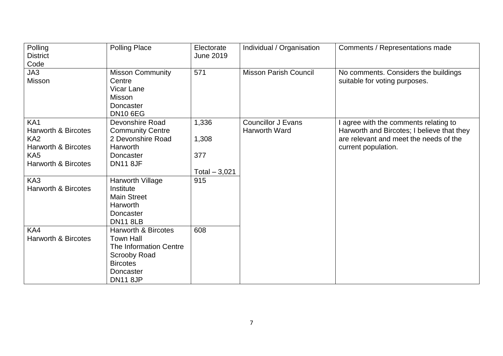| Polling<br><b>District</b>                                                                                                                                         | <b>Polling Place</b>                                                                                                                   | Electorate<br><b>June 2019</b>                 | Individual / Organisation                         | Comments / Representations made                                                                                                                      |
|--------------------------------------------------------------------------------------------------------------------------------------------------------------------|----------------------------------------------------------------------------------------------------------------------------------------|------------------------------------------------|---------------------------------------------------|------------------------------------------------------------------------------------------------------------------------------------------------------|
| Code                                                                                                                                                               |                                                                                                                                        |                                                |                                                   |                                                                                                                                                      |
| JA3<br>Misson                                                                                                                                                      | <b>Misson Community</b><br>Centre<br>Vicar Lane<br>Misson<br>Doncaster<br><b>DN10 6EG</b>                                              | 571                                            | <b>Misson Parish Council</b>                      | No comments. Considers the buildings<br>suitable for voting purposes.                                                                                |
| KA <sub>1</sub><br><b>Harworth &amp; Bircotes</b><br>KA <sub>2</sub><br><b>Harworth &amp; Bircotes</b><br>KA <sub>5</sub><br><b>Harworth &amp; Bircotes</b><br>KA3 | Devonshire Road<br><b>Community Centre</b><br>2 Devonshire Road<br><b>Harworth</b><br>Doncaster<br><b>DN11 8JF</b><br>Harworth Village | 1,336<br>1,308<br>377<br>Total $-3,021$<br>915 | <b>Councillor J Evans</b><br><b>Harworth Ward</b> | I agree with the comments relating to<br>Harworth and Bircotes; I believe that they<br>are relevant and meet the needs of the<br>current population. |
| <b>Harworth &amp; Bircotes</b><br>KA4                                                                                                                              | Institute<br><b>Main Street</b><br>Harworth<br>Doncaster<br><b>DN11 8LB</b><br><b>Harworth &amp; Bircotes</b>                          | 608                                            |                                                   |                                                                                                                                                      |
| <b>Harworth &amp; Bircotes</b>                                                                                                                                     | <b>Town Hall</b><br><b>The Information Centre</b><br><b>Scrooby Road</b><br><b>Bircotes</b><br>Doncaster<br><b>DN11 8JP</b>            |                                                |                                                   |                                                                                                                                                      |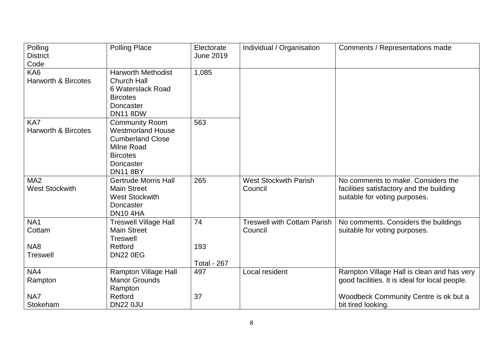| Polling<br><b>District</b>     | <b>Polling Place</b>         | Electorate<br><b>June 2019</b> | Individual / Organisation          | Comments / Representations made                |
|--------------------------------|------------------------------|--------------------------------|------------------------------------|------------------------------------------------|
| Code                           |                              |                                |                                    |                                                |
| KA <sub>6</sub>                | <b>Harworth Methodist</b>    | 1,085                          |                                    |                                                |
| <b>Harworth &amp; Bircotes</b> | <b>Church Hall</b>           |                                |                                    |                                                |
|                                | 6 Waterslack Road            |                                |                                    |                                                |
|                                | <b>Bircotes</b>              |                                |                                    |                                                |
|                                | Doncaster                    |                                |                                    |                                                |
|                                | <b>DN11 8DW</b>              |                                |                                    |                                                |
| KA7                            | <b>Community Room</b>        | 563                            |                                    |                                                |
| <b>Harworth &amp; Bircotes</b> | <b>Westmorland House</b>     |                                |                                    |                                                |
|                                | <b>Cumberland Close</b>      |                                |                                    |                                                |
|                                | <b>Milne Road</b>            |                                |                                    |                                                |
|                                | <b>Bircotes</b>              |                                |                                    |                                                |
|                                | Doncaster                    |                                |                                    |                                                |
|                                | <b>DN11 8BY</b>              |                                |                                    |                                                |
| MA <sub>2</sub>                | <b>Gertrude Morris Hall</b>  | 265                            | <b>West Stockwith Parish</b>       | No comments to make. Considers the             |
| <b>West Stockwith</b>          | <b>Main Street</b>           |                                | Council                            | facilities satisfactory and the building       |
|                                | <b>West Stockwith</b>        |                                |                                    | suitable for voting purposes.                  |
|                                | Doncaster                    |                                |                                    |                                                |
|                                | <b>DN10 4HA</b>              |                                |                                    |                                                |
| NA <sub>1</sub>                | <b>Treswell Village Hall</b> | 74                             | <b>Treswell with Cottam Parish</b> | No comments. Considers the buildings           |
| Cottam                         | <b>Main Street</b>           |                                | Council                            | suitable for voting purposes.                  |
|                                | <b>Treswell</b>              |                                |                                    |                                                |
| NA8                            | Retford                      | 193                            |                                    |                                                |
| <b>Treswell</b>                | <b>DN22 0EG</b>              |                                |                                    |                                                |
|                                |                              | <b>Total - 267</b>             |                                    |                                                |
| NA4                            | <b>Rampton Village Hall</b>  | 497                            | Local resident                     | Rampton Village Hall is clean and has very     |
| Rampton                        | <b>Manor Grounds</b>         |                                |                                    | good facilities. It is ideal for local people. |
|                                | Rampton                      |                                |                                    |                                                |
| NA7                            | Retford                      | 37                             |                                    | Woodbeck Community Centre is ok but a          |
| Stokeham                       | <b>DN22 0JU</b>              |                                |                                    | bit tired looking.                             |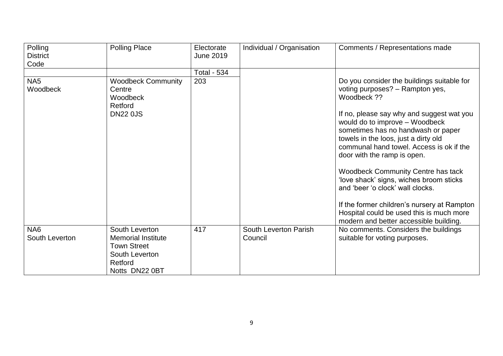| Polling<br><b>District</b><br>Code | <b>Polling Place</b>                                                                                             | Electorate<br><b>June 2019</b> | Individual / Organisation        | Comments / Representations made                                                                                                                                                                                                                                                                                                                                                                                                                                                                                                                             |
|------------------------------------|------------------------------------------------------------------------------------------------------------------|--------------------------------|----------------------------------|-------------------------------------------------------------------------------------------------------------------------------------------------------------------------------------------------------------------------------------------------------------------------------------------------------------------------------------------------------------------------------------------------------------------------------------------------------------------------------------------------------------------------------------------------------------|
|                                    |                                                                                                                  | <b>Total - 534</b>             |                                  |                                                                                                                                                                                                                                                                                                                                                                                                                                                                                                                                                             |
| NA <sub>5</sub><br>Woodbeck        | <b>Woodbeck Community</b><br>Centre<br>Woodbeck<br>Retford<br><b>DN22 0JS</b>                                    | 203                            |                                  | Do you consider the buildings suitable for<br>voting purposes? - Rampton yes,<br>Woodbeck ??<br>If no, please say why and suggest wat you<br>would do to improve - Woodbeck<br>sometimes has no handwash or paper<br>towels in the loos, just a dirty old<br>communal hand towel. Access is ok if the<br>door with the ramp is open.<br><b>Woodbeck Community Centre has tack</b><br>'love shack' signs, wiches broom sticks<br>and 'beer 'o clock' wall clocks.<br>If the former children's nursery at Rampton<br>Hospital could be used this is much more |
|                                    |                                                                                                                  |                                |                                  | modern and better accessible building.                                                                                                                                                                                                                                                                                                                                                                                                                                                                                                                      |
| NA <sub>6</sub><br>South Leverton  | South Leverton<br><b>Memorial Institute</b><br><b>Town Street</b><br>South Leverton<br>Retford<br>Notts DN22 0BT | 417                            | South Leverton Parish<br>Council | No comments. Considers the buildings<br>suitable for voting purposes.                                                                                                                                                                                                                                                                                                                                                                                                                                                                                       |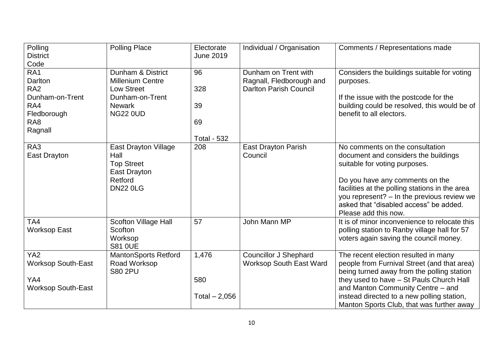| Polling<br><b>District</b><br>Code           | <b>Polling Place</b>                                                                                   | Electorate<br><b>June 2019</b> | Individual / Organisation                                      | Comments / Representations made                                                                                                                                                                                                                                                                               |
|----------------------------------------------|--------------------------------------------------------------------------------------------------------|--------------------------------|----------------------------------------------------------------|---------------------------------------------------------------------------------------------------------------------------------------------------------------------------------------------------------------------------------------------------------------------------------------------------------------|
| RA <sub>1</sub><br>Darlton                   | Dunham & District<br><b>Millenium Centre</b>                                                           | 96                             | Dunham on Trent with<br>Ragnall, Fledborough and               | Considers the buildings suitable for voting<br>purposes.                                                                                                                                                                                                                                                      |
| RA <sub>2</sub>                              | Low Street                                                                                             | 328                            | <b>Darlton Parish Council</b>                                  |                                                                                                                                                                                                                                                                                                               |
| Dunham-on-Trent                              | Dunham-on-Trent                                                                                        |                                |                                                                | If the issue with the postcode for the                                                                                                                                                                                                                                                                        |
| RA4                                          | <b>Newark</b>                                                                                          | 39                             |                                                                | building could be resolved, this would be of                                                                                                                                                                                                                                                                  |
| Fledborough                                  | <b>NG22 0UD</b>                                                                                        |                                |                                                                | benefit to all electors.                                                                                                                                                                                                                                                                                      |
| RA <sub>8</sub>                              |                                                                                                        | 69                             |                                                                |                                                                                                                                                                                                                                                                                                               |
| Ragnall                                      |                                                                                                        | <b>Total - 532</b>             |                                                                |                                                                                                                                                                                                                                                                                                               |
| RA <sub>3</sub><br>East Drayton              | <b>East Drayton Village</b><br>Hall<br><b>Top Street</b><br>East Drayton<br>Retford<br><b>DN22 0LG</b> | 208                            | <b>East Drayton Parish</b><br>Council                          | No comments on the consultation<br>document and considers the buildings<br>suitable for voting purposes.<br>Do you have any comments on the<br>facilities at the polling stations in the area<br>you represent? - In the previous review we<br>asked that "disabled access" be added.<br>Please add this now. |
| TA <sub>4</sub><br><b>Worksop East</b>       | Scofton Village Hall<br>Scofton<br>Worksop<br><b>S81 OUE</b>                                           | 57                             | John Mann MP                                                   | It is of minor inconvenience to relocate this<br>polling station to Ranby village hall for 57<br>voters again saving the council money.                                                                                                                                                                       |
| YA <sub>2</sub><br><b>Worksop South-East</b> | <b>MantonSports Retford</b><br>Road Worksop<br><b>S80 2PU</b>                                          | 1,476                          | <b>Councillor J Shephard</b><br><b>Worksop South East Ward</b> | The recent election resulted in many<br>people from Furnival Street (and that area)<br>being turned away from the polling station                                                                                                                                                                             |
| YA4<br><b>Worksop South-East</b>             |                                                                                                        | 580                            |                                                                | they used to have - St Pauls Church Hall<br>and Manton Community Centre - and                                                                                                                                                                                                                                 |
|                                              |                                                                                                        | Total $-2,056$                 |                                                                | instead directed to a new polling station,<br>Manton Sports Club, that was further away                                                                                                                                                                                                                       |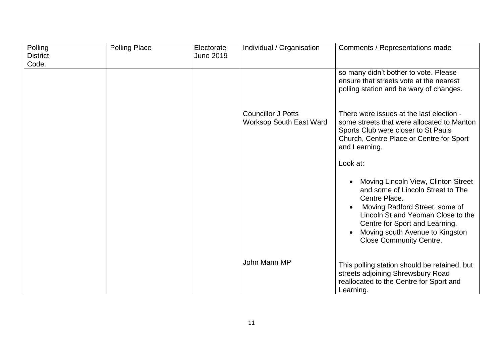| Polling                 | <b>Polling Place</b> | Electorate       | Individual / Organisation                                   | Comments / Representations made                                                                                                                                                                                                                                                       |
|-------------------------|----------------------|------------------|-------------------------------------------------------------|---------------------------------------------------------------------------------------------------------------------------------------------------------------------------------------------------------------------------------------------------------------------------------------|
| <b>District</b><br>Code |                      | <b>June 2019</b> |                                                             |                                                                                                                                                                                                                                                                                       |
|                         |                      |                  |                                                             | so many didn't bother to vote. Please                                                                                                                                                                                                                                                 |
|                         |                      |                  |                                                             | ensure that streets vote at the nearest<br>polling station and be wary of changes.                                                                                                                                                                                                    |
|                         |                      |                  | <b>Councillor J Potts</b><br><b>Worksop South East Ward</b> | There were issues at the last election -<br>some streets that were allocated to Manton<br>Sports Club were closer to St Pauls<br>Church, Centre Place or Centre for Sport<br>and Learning.                                                                                            |
|                         |                      |                  |                                                             | Look at:                                                                                                                                                                                                                                                                              |
|                         |                      |                  |                                                             | Moving Lincoln View, Clinton Street<br>and some of Lincoln Street to The<br>Centre Place.<br>Moving Radford Street, some of<br>Lincoln St and Yeoman Close to the<br>Centre for Sport and Learning.<br>Moving south Avenue to Kingston<br>$\bullet$<br><b>Close Community Centre.</b> |
|                         |                      |                  | John Mann MP                                                | This polling station should be retained, but<br>streets adjoining Shrewsbury Road<br>reallocated to the Centre for Sport and<br>Learning.                                                                                                                                             |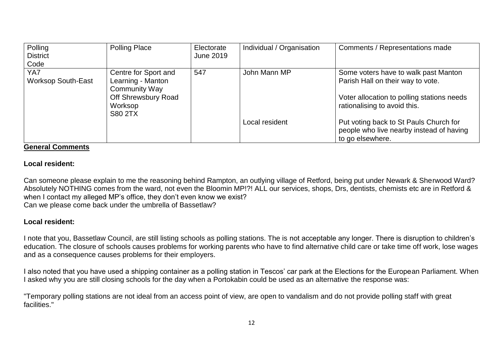| Polling<br><b>District</b><br>Code | <b>Polling Place</b>                                                                                                  | Electorate<br>June 2019 | Individual / Organisation | Comments / Representations made                                                                                                                         |
|------------------------------------|-----------------------------------------------------------------------------------------------------------------------|-------------------------|---------------------------|---------------------------------------------------------------------------------------------------------------------------------------------------------|
| YA7<br><b>Worksop South-East</b>   | Centre for Sport and<br>Learning - Manton<br><b>Community Way</b><br>Off Shrewsbury Road<br>Worksop<br><b>S80 2TX</b> | 547                     | John Mann MP              | Some voters have to walk past Manton<br>Parish Hall on their way to vote.<br>Voter allocation to polling stations needs<br>rationalising to avoid this. |
|                                    |                                                                                                                       |                         | Local resident            | Put voting back to St Pauls Church for<br>people who live nearby instead of having<br>to go elsewhere.                                                  |

### **General Comments**

### **Local resident:**

Can someone please explain to me the reasoning behind Rampton, an outlying village of Retford, being put under Newark & Sherwood Ward? Absolutely NOTHING comes from the ward, not even the Bloomin MP!?! ALL our services, shops, Drs, dentists, chemists etc are in Retford & when I contact my alleged MP's office, they don't even know we exist? Can we please come back under the umbrella of Bassetlaw?

## **Local resident:**

I note that you, Bassetlaw Council, are still listing schools as polling stations. The is not acceptable any longer. There is disruption to children's education. The closure of schools causes problems for working parents who have to find alternative child care or take time off work, lose wages and as a consequence causes problems for their employers.

I also noted that you have used a shipping container as a polling station in Tescos' car park at the Elections for the European Parliament. When I asked why you are still closing schools for the day when a Portokabin could be used as an alternative the response was:

"Temporary polling stations are not ideal from an access point of view, are open to vandalism and do not provide polling staff with great facilities."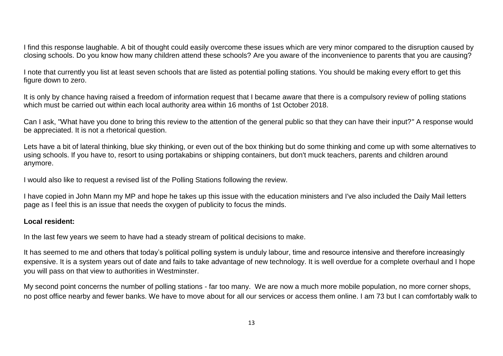I find this response laughable. A bit of thought could easily overcome these issues which are very minor compared to the disruption caused by closing schools. Do you know how many children attend these schools? Are you aware of the inconvenience to parents that you are causing?

I note that currently you list at least seven schools that are listed as potential polling stations. You should be making every effort to get this figure down to zero.

It is only by chance having raised a freedom of information request that I became aware that there is a compulsory review of polling stations which must be carried out within each local authority area within 16 months of 1st October 2018.

Can I ask, "What have you done to bring this review to the attention of the general public so that they can have their input?" A response would be appreciated. It is not a rhetorical question.

Lets have a bit of lateral thinking, blue sky thinking, or even out of the box thinking but do some thinking and come up with some alternatives to using schools. If you have to, resort to using portakabins or shipping containers, but don't muck teachers, parents and children around anymore.

I would also like to request a revised list of the Polling Stations following the review.

I have copied in John Mann my MP and hope he takes up this issue with the education ministers and I've also included the Daily Mail letters page as I feel this is an issue that needs the oxygen of publicity to focus the minds.

### **Local resident:**

In the last few years we seem to have had a steady stream of political decisions to make.

It has seemed to me and others that today's political polling system is unduly labour, time and resource intensive and therefore increasingly expensive. It is a system years out of date and fails to take advantage of new technology. It is well overdue for a complete overhaul and I hope you will pass on that view to authorities in Westminster.

My second point concerns the number of polling stations - far too many. We are now a much more mobile population, no more corner shops, no post office nearby and fewer banks. We have to move about for all our services or access them online. I am 73 but I can comfortably walk to